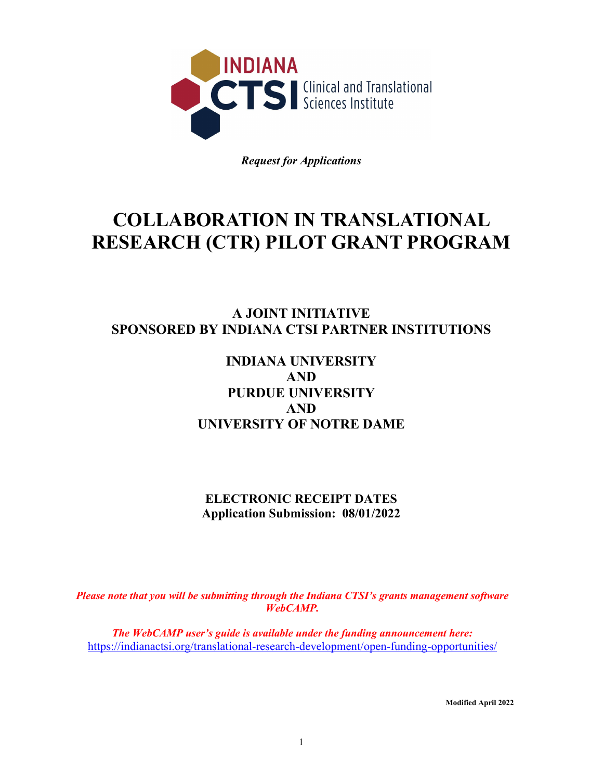

*Request for Applications*

# **COLLABORATION IN TRANSLATIONAL RESEARCH (CTR) PILOT GRANT PROGRAM**

# **A JOINT INITIATIVE SPONSORED BY INDIANA CTSI PARTNER INSTITUTIONS**

# **INDIANA UNIVERSITY AND PURDUE UNIVERSITY AND UNIVERSITY OF NOTRE DAME**

**ELECTRONIC RECEIPT DATES Application Submission: 08/01/2022**

*Please note that you will be submitting through the Indiana CTSI's grants management software WebCAMP.* 

*The WebCAMP user's guide is available under the funding announcement here:*  <https://indianactsi.org/translational-research-development/open-funding-opportunities/>

**Modified April 2022**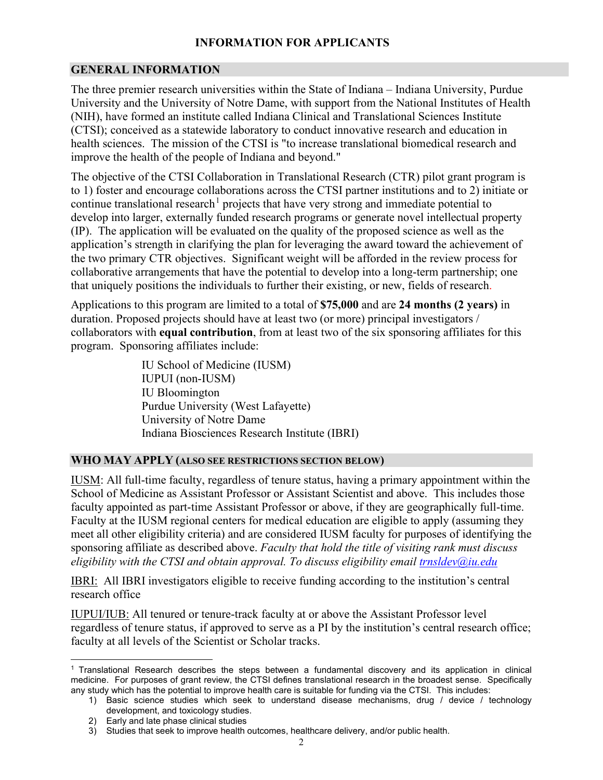# **INFORMATION FOR APPLICANTS**

#### **GENERAL INFORMATION**

The three premier research universities within the State of Indiana – Indiana University, Purdue University and the University of Notre Dame, with support from the National Institutes of Health (NIH), have formed an institute called Indiana Clinical and Translational Sciences Institute (CTSI); conceived as a statewide laboratory to conduct innovative research and education in health sciences. The mission of the CTSI is "to increase translational biomedical research and improve the health of the people of Indiana and beyond."

The objective of the CTSI Collaboration in Translational Research (CTR) pilot grant program is to 1) foster and encourage collaborations across the CTSI partner institutions and to 2) initiate or continue translational research<sup>[1](#page-1-0)</sup> projects that have very strong and immediate potential to develop into larger, externally funded research programs or generate novel intellectual property (IP). The application will be evaluated on the quality of the proposed science as well as the application's strength in clarifying the plan for leveraging the award toward the achievement of the two primary CTR objectives. Significant weight will be afforded in the review process for collaborative arrangements that have the potential to develop into a long-term partnership; one that uniquely positions the individuals to further their existing, or new, fields of research.

Applications to this program are limited to a total of **\$75,000** and are **24 months (2 years)** in duration. Proposed projects should have at least two (or more) principal investigators / collaborators with **equal contribution**, from at least two of the six sponsoring affiliates for this program. Sponsoring affiliates include:

> IU School of Medicine (IUSM) IUPUI (non-IUSM) IU Bloomington Purdue University (West Lafayette) University of Notre Dame Indiana Biosciences Research Institute (IBRI)

#### **WHO MAY APPLY (ALSO SEE RESTRICTIONS SECTION BELOW)**

IUSM: All full-time faculty, regardless of tenure status, having a primary appointment within the School of Medicine as Assistant Professor or Assistant Scientist and above. This includes those faculty appointed as part-time Assistant Professor or above, if they are geographically full-time. Faculty at the IUSM regional centers for medical education are eligible to apply (assuming they meet all other eligibility criteria) and are considered IUSM faculty for purposes of identifying the sponsoring affiliate as described above. *Faculty that hold the title of visiting rank must discuss eligibility with the CTSI and obtain approval. To discuss eligibility email [trnsldev@iu.edu](mailto:trnsldev@iu.edu)*

IBRI: All IBRI investigators eligible to receive funding according to the institution's central research office

IUPUI/IUB: All tenured or tenure-track faculty at or above the Assistant Professor level regardless of tenure status, if approved to serve as a PI by the institution's central research office; faculty at all levels of the Scientist or Scholar tracks.

<span id="page-1-0"></span><sup>1</sup> Translational Research describes the steps between a fundamental discovery and its application in clinical medicine. For purposes of grant review, the CTSI defines translational research in the broadest sense. Specifically any study which has the potential to improve health care is suitable for funding via the CTSI. This includes:

<sup>1)</sup> Basic science studies which seek to understand disease mechanisms, drug / device / technology development, and toxicology studies.

<sup>2)</sup> Early and late phase clinical studies

<sup>3)</sup> Studies that seek to improve health outcomes, healthcare delivery, and/or public health.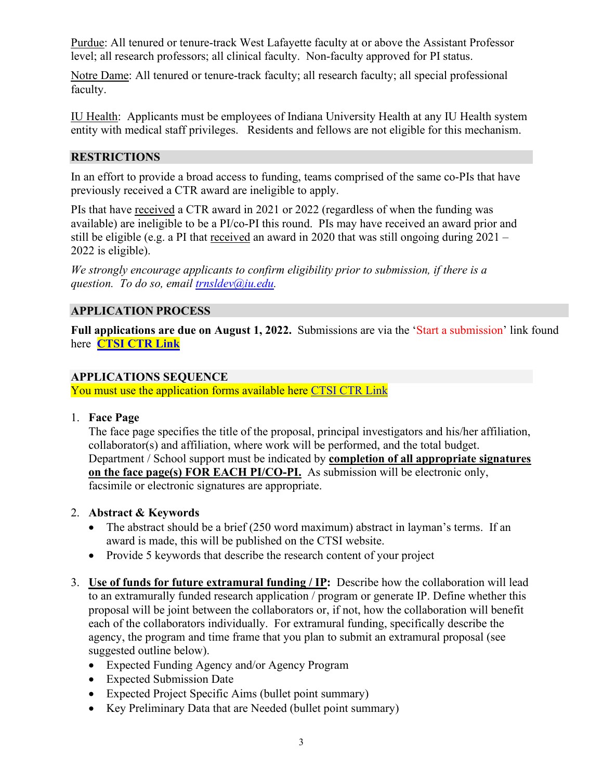Purdue: All tenured or tenure-track West Lafayette faculty at or above the Assistant Professor level; all research professors; all clinical faculty. Non-faculty approved for PI status.

Notre Dame: All tenured or tenure-track faculty; all research faculty; all special professional faculty.

IU Health: Applicants must be employees of Indiana University Health at any IU Health system entity with medical staff privileges. Residents and fellows are not eligible for this mechanism.

# **RESTRICTIONS**

In an effort to provide a broad access to funding, teams comprised of the same co-PIs that have previously received a CTR award are ineligible to apply.

PIs that have received a CTR award in 2021 or 2022 (regardless of when the funding was available) are ineligible to be a PI/co-PI this round. PIs may have received an award prior and still be eligible (e.g. a PI that received an award in 2020 that was still ongoing during  $2021 -$ 2022 is eligible).

*We strongly encourage applicants to confirm eligibility prior to submission, if there is a question. To do so, email [trnsldev@iu.edu.](mailto:trnsldev@iu.edu)* 

# **APPLICATION PROCESS**

**Full applications are due on August 1, 2022.** Submissions are via the 'Start a submission' link found here **[CTSI CTR Link](https://indianactsi.org/translational-research-development/open-funding-opportunities#CTR202208)**

#### **APPLICATIONS SEQUENCE**

You must use the application forms available here [CTSI CTR Link](https://indianactsi.org/translational-research-development/open-funding-opportunities#CTR202208)

1. **Face Page**

The face page specifies the title of the proposal, principal investigators and his/her affiliation, collaborator(s) and affiliation, where work will be performed, and the total budget. Department / School support must be indicated by **completion of all appropriate signatures on the face page(s) FOR EACH PI/CO-PI.** As submission will be electronic only, facsimile or electronic signatures are appropriate.

#### 2. **Abstract & Keywords**

- The abstract should be a brief (250 word maximum) abstract in layman's terms. If an award is made, this will be published on the CTSI website.
- Provide 5 keywords that describe the research content of your project
- 3. **Use of funds for future extramural funding / IP:** Describe how the collaboration will lead to an extramurally funded research application / program or generate IP. Define whether this proposal will be joint between the collaborators or, if not, how the collaboration will benefit each of the collaborators individually. For extramural funding, specifically describe the agency, the program and time frame that you plan to submit an extramural proposal (see suggested outline below).
	- Expected Funding Agency and/or Agency Program
	- Expected Submission Date
	- Expected Project Specific Aims (bullet point summary)
	- Key Preliminary Data that are Needed (bullet point summary)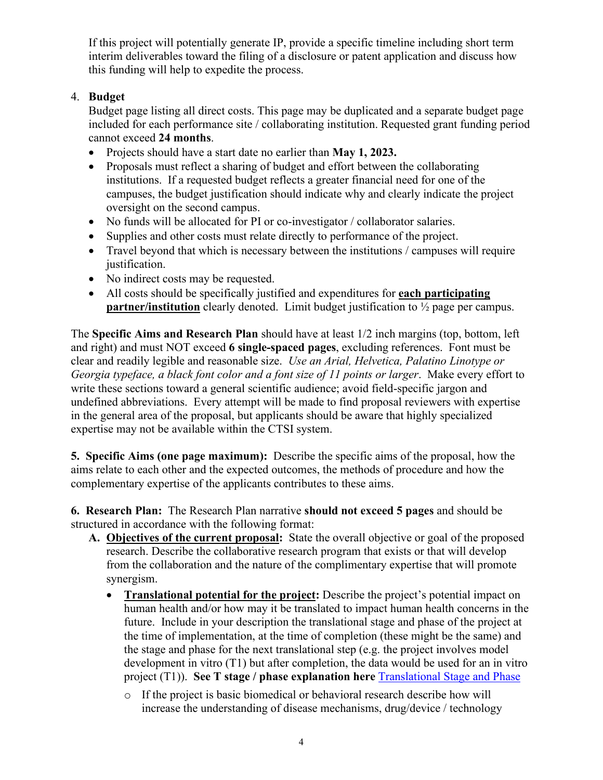If this project will potentially generate IP, provide a specific timeline including short term interim deliverables toward the filing of a disclosure or patent application and discuss how this funding will help to expedite the process.

# 4. **Budget**

Budget page listing all direct costs. This page may be duplicated and a separate budget page included for each performance site / collaborating institution. Requested grant funding period cannot exceed **24 months**.

- Projects should have a start date no earlier than **May 1, 2023.**
- Proposals must reflect a sharing of budget and effort between the collaborating institutions. If a requested budget reflects a greater financial need for one of the campuses, the budget justification should indicate why and clearly indicate the project oversight on the second campus.
- No funds will be allocated for PI or co-investigator / collaborator salaries.
- Supplies and other costs must relate directly to performance of the project.
- Travel beyond that which is necessary between the institutions / campuses will require justification.
- No indirect costs may be requested.
- All costs should be specifically justified and expenditures for **each participating partner/institution** clearly denoted. Limit budget justification to  $\frac{1}{2}$  page per campus.

The **Specific Aims and Research Plan** should have at least 1/2 inch margins (top, bottom, left and right) and must NOT exceed **6 single-spaced pages**, excluding references. Font must be clear and readily legible and reasonable size. *Use an Arial, Helvetica, Palatino Linotype or Georgia typeface, a black font color and a font size of 11 points or larger*. Make every effort to write these sections toward a general scientific audience; avoid field-specific jargon and undefined abbreviations. Every attempt will be made to find proposal reviewers with expertise in the general area of the proposal, but applicants should be aware that highly specialized expertise may not be available within the CTSI system.

**5. Specific Aims (one page maximum):** Describe the specific aims of the proposal, how the aims relate to each other and the expected outcomes, the methods of procedure and how the complementary expertise of the applicants contributes to these aims.

**6. Research Plan:** The Research Plan narrative **should not exceed 5 pages** and should be structured in accordance with the following format:

- **A. Objectives of the current proposal:** State the overall objective or goal of the proposed research. Describe the collaborative research program that exists or that will develop from the collaboration and the nature of the complimentary expertise that will promote synergism.
	- **Translational potential for the project:** Describe the project's potential impact on human health and/or how may it be translated to impact human health concerns in the future. Include in your description the translational stage and phase of the project at the time of implementation, at the time of completion (these might be the same) and the stage and phase for the next translational step (e.g. the project involves model development in vitro (T1) but after completion, the data would be used for an in vitro project (T1)). **See T stage / phase explanation here** [Translational Stage and Phase](https://www.indianactsi.org/wp-content/uploads/Translational-Stages-100418.pdf) 
		- o If the project is basic biomedical or behavioral research describe how will increase the understanding of disease mechanisms, drug/device / technology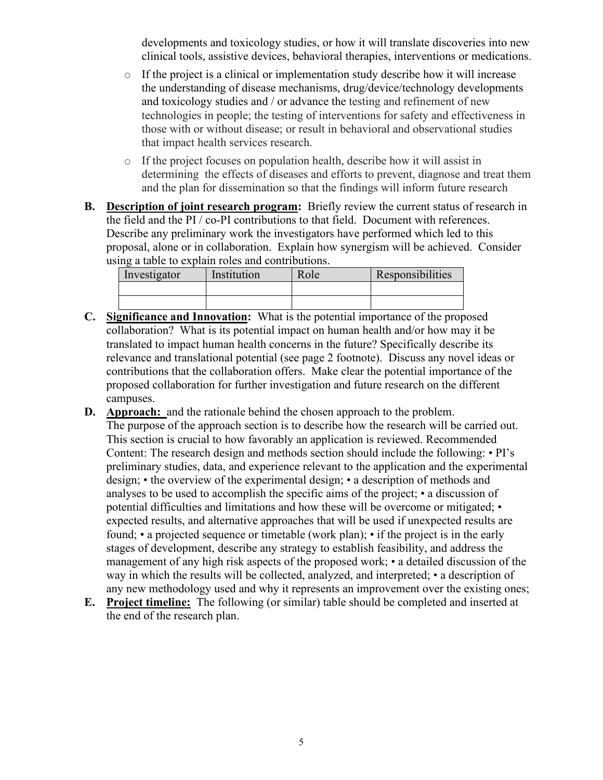developments and toxicology studies, or how it will translate discoveries into new clinical tools, assistive devices, behavioral therapies, interventions or medications.

- o If the project is a clinical or implementation study describe how it will increase the understanding of disease mechanisms, drug/device/technology developments and toxicology studies and / or advance the testing and refinement of new technologies in people; the testing of interventions for safety and effectiveness in those with or without disease; or result in behavioral and observational studies that impact health services research.
- o If the project focuses on population health, describe how it will assist in determining the effects of diseases and efforts to prevent, diagnose and treat them and the plan for dissemination so that the findings will inform future research
- **B. Description of joint research program:** Briefly review the current status of research in the field and the PI / co-PI contributions to that field. Document with references. Describe any preliminary work the investigators have performed which led to this proposal, alone or in collaboration. Explain how synergism will be achieved. Consider using a table to explain roles and contributions.

| Investigator | Institution | Role | Responsibilities |
|--------------|-------------|------|------------------|
|              |             |      |                  |
|              |             |      |                  |

- **C. Significance and Innovation:** What is the potential importance of the proposed collaboration? What is its potential impact on human health and/or how may it be translated to impact human health concerns in the future? Specifically describe its relevance and translational potential (see page 2 footnote). Discuss any novel ideas or contributions that the collaboration offers. Make clear the potential importance of the proposed collaboration for further investigation and future research on the different campuses.
- **D. Approach:** and the rationale behind the chosen approach to the problem. The purpose of the approach section is to describe how the research will be carried out. This section is crucial to how favorably an application is reviewed. Recommended Content: The research design and methods section should include the following: • PI's preliminary studies, data, and experience relevant to the application and the experimental design; • the overview of the experimental design; • a description of methods and analyses to be used to accomplish the specific aims of the project; • a discussion of potential difficulties and limitations and how these will be overcome or mitigated; • expected results, and alternative approaches that will be used if unexpected results are found; • a projected sequence or timetable (work plan); • if the project is in the early stages of development, describe any strategy to establish feasibility, and address the management of any high risk aspects of the proposed work; • a detailed discussion of the way in which the results will be collected, analyzed, and interpreted; • a description of any new methodology used and why it represents an improvement over the existing ones;
- **E. Project timeline:** The following (or similar) table should be completed and inserted at the end of the research plan.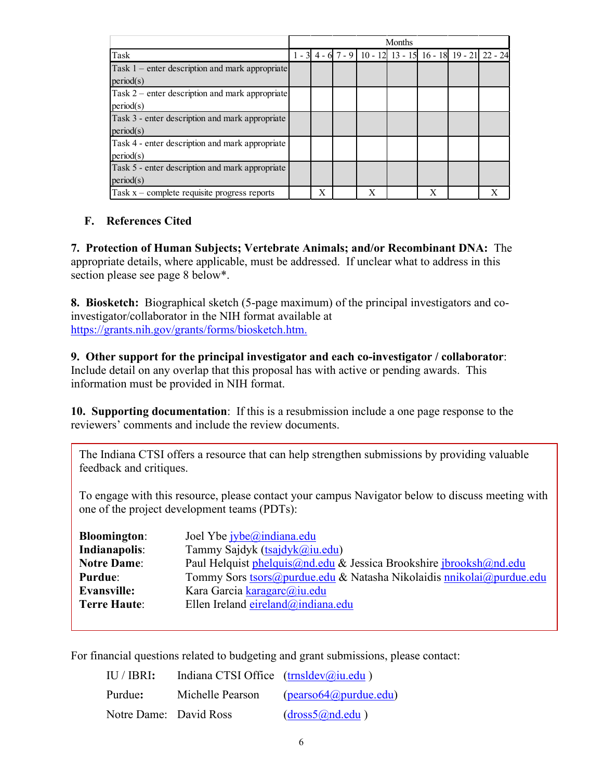|                                                   | Months |   |  |   |                                                                     |   |  |
|---------------------------------------------------|--------|---|--|---|---------------------------------------------------------------------|---|--|
| Task                                              |        |   |  |   | 1 - 3 4 - 6 7 - 9   10 - 12   13 - 15   16 - 18   19 - 21   22 - 24 |   |  |
| Task $1$ – enter description and mark appropriate |        |   |  |   |                                                                     |   |  |
| period(s)                                         |        |   |  |   |                                                                     |   |  |
| Task $2$ – enter description and mark appropriate |        |   |  |   |                                                                     |   |  |
| period(s)                                         |        |   |  |   |                                                                     |   |  |
| Task 3 - enter description and mark appropriate   |        |   |  |   |                                                                     |   |  |
| period(s)                                         |        |   |  |   |                                                                     |   |  |
| Task 4 - enter description and mark appropriate   |        |   |  |   |                                                                     |   |  |
| period(s)                                         |        |   |  |   |                                                                     |   |  |
| Task 5 - enter description and mark appropriate   |        |   |  |   |                                                                     |   |  |
| period(s)                                         |        |   |  |   |                                                                     |   |  |
| Task $x$ – complete requisite progress reports    |        | X |  | X |                                                                     | X |  |

#### **F. References Cited**

**7. Protection of Human Subjects; Vertebrate Animals; and/or Recombinant DNA:** The appropriate details, where applicable, must be addressed. If unclear what to address in this section please see page 8 below\*.

**8. Biosketch:** Biographical sketch (5-page maximum) of the principal investigators and coinvestigator/collaborator in the NIH format available at [https://grants.nih.gov/grants/forms/biosketch.htm.](https://grants.nih.gov/grants/forms/biosketch.htm)

**9. Other support for the principal investigator and each co-investigator / collaborator**: Include detail on any overlap that this proposal has with active or pending awards. This information must be provided in NIH format.

**10. Supporting documentation**: If this is a resubmission include a one page response to the reviewers' comments and include the review documents.

The Indiana CTSI offers a resource that can help strengthen submissions by providing valuable feedback and critiques.

To engage with this resource, please contact your campus Navigator below to discuss meeting with one of the project development teams (PDTs):

| <b>Bloomington:</b> | Joel Ybe jybe@indiana.edu                                            |
|---------------------|----------------------------------------------------------------------|
| Indianapolis:       | Tammy Sajdyk (tsajdyk@iu.edu)                                        |
| <b>Notre Dame:</b>  | Paul Helquist phelquis@nd.edu & Jessica Brookshire jbrooksh@nd.edu   |
| <b>Purdue:</b>      | Tommy Sors tsors@purdue.edu & Natasha Nikolaidis nnikolai@purdue.edu |
| <b>Evansville:</b>  | Kara Garcia karagarc@iu.edu                                          |
| <b>Terre Haute:</b> | Ellen Ireland eireland@indiana.edu                                   |
|                     |                                                                      |

For financial questions related to budgeting and grant submissions, please contact:

| IU / IBRI:             | Indiana CTSI Office $(\text{trn}_0   \text{u.edu})$ |                                                 |
|------------------------|-----------------------------------------------------|-------------------------------------------------|
| Purdue:                | Michelle Pearson                                    | $(\text{pearso64} \textcircled{a})$ purdue.edu) |
| Notre Dame: David Ross |                                                     | (dross5@nd.edu)                                 |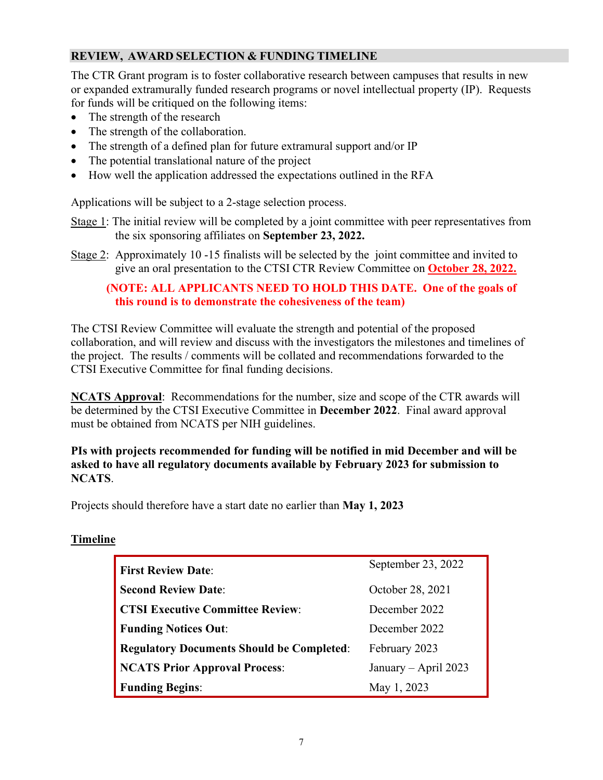#### **REVIEW, AWARD SELECTION & FUNDING TIMELINE**

The CTR Grant program is to foster collaborative research between campuses that results in new or expanded extramurally funded research programs or novel intellectual property (IP). Requests for funds will be critiqued on the following items:

- The strength of the research
- The strength of the collaboration.
- The strength of a defined plan for future extramural support and/or IP
- The potential translational nature of the project
- How well the application addressed the expectations outlined in the RFA

Applications will be subject to a 2-stage selection process.

- Stage 1: The initial review will be completed by a joint committee with peer representatives from the six sponsoring affiliates on **September 23, 2022.**
- Stage 2: Approximately 10 -15 finalists will be selected by the joint committee and invited to give an oral presentation to the CTSI CTR Review Committee on **October 28, 2022.**

#### **(NOTE: ALL APPLICANTS NEED TO HOLD THIS DATE. One of the goals of this round is to demonstrate the cohesiveness of the team)**

The CTSI Review Committee will evaluate the strength and potential of the proposed collaboration, and will review and discuss with the investigators the milestones and timelines of the project. The results / comments will be collated and recommendations forwarded to the CTSI Executive Committee for final funding decisions.

**NCATS Approval**: Recommendations for the number, size and scope of the CTR awards will be determined by the CTSI Executive Committee in **December 2022**. Final award approval must be obtained from NCATS per NIH guidelines.

**PIs with projects recommended for funding will be notified in mid December and will be asked to have all regulatory documents available by February 2023 for submission to NCATS**.

Projects should therefore have a start date no earlier than **May 1, 2023**

#### **Timeline**

| <b>First Review Date:</b>                        | September 23, 2022   |  |  |
|--------------------------------------------------|----------------------|--|--|
| <b>Second Review Date:</b>                       | October 28, 2021     |  |  |
| <b>CTSI Executive Committee Review:</b>          | December 2022        |  |  |
| <b>Funding Notices Out:</b>                      | December 2022        |  |  |
| <b>Regulatory Documents Should be Completed:</b> | February 2023        |  |  |
| <b>NCATS Prior Approval Process:</b>             | January – April 2023 |  |  |
| <b>Funding Begins:</b>                           | May 1, 2023          |  |  |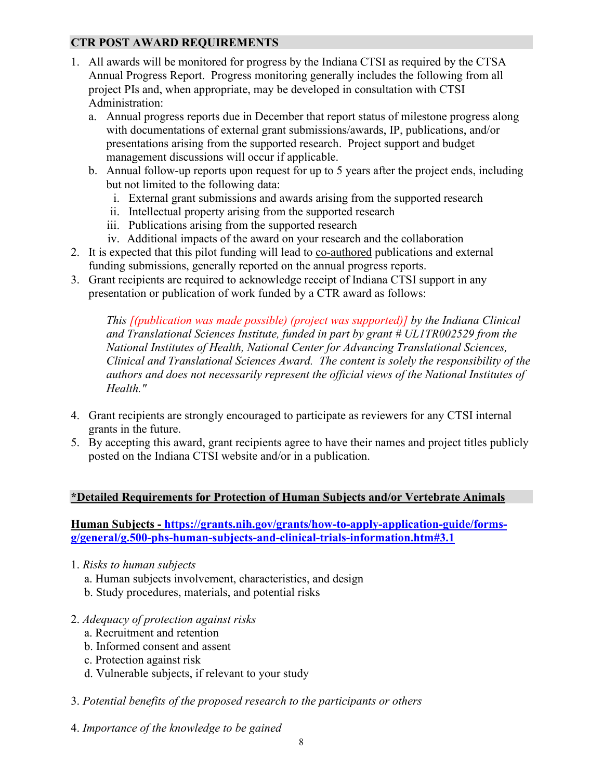#### **CTR POST AWARD REQUIREMENTS**

- 1. All awards will be monitored for progress by the Indiana CTSI as required by the CTSA Annual Progress Report. Progress monitoring generally includes the following from all project PIs and, when appropriate, may be developed in consultation with CTSI Administration:
	- a. Annual progress reports due in December that report status of milestone progress along with documentations of external grant submissions/awards, IP, publications, and/or presentations arising from the supported research. Project support and budget management discussions will occur if applicable.
	- b. Annual follow-up reports upon request for up to 5 years after the project ends, including but not limited to the following data:
		- i. External grant submissions and awards arising from the supported research
		- ii. Intellectual property arising from the supported research
		- iii. Publications arising from the supported research
		- iv. Additional impacts of the award on your research and the collaboration
- 2. It is expected that this pilot funding will lead to co-authored publications and external funding submissions, generally reported on the annual progress reports.
- 3. Grant recipients are required to acknowledge receipt of Indiana CTSI support in any presentation or publication of work funded by a CTR award as follows:

*This [(publication was made possible) (project was supported)] by the Indiana Clinical and Translational Sciences Institute, funded in part by grant # UL1TR002529 from the National Institutes of Health, National Center for Advancing Translational Sciences, Clinical and Translational Sciences Award. The content is solely the responsibility of the authors and does not necessarily represent the official views of the National Institutes of Health."*

- 4. Grant recipients are strongly encouraged to participate as reviewers for any CTSI internal grants in the future.
- 5. By accepting this award, grant recipients agree to have their names and project titles publicly posted on the Indiana CTSI website and/or in a publication.

#### **\*Detailed Requirements for Protection of Human Subjects and/or Vertebrate Animals**

**Human Subjects - [https://grants.nih.gov/grants/how-to-apply-application-guide/forms](https://grants.nih.gov/grants/how-to-apply-application-guide/forms-g/general/g.500-phs-human-subjects-and-clinical-trials-information.htm#3.1)[g/general/g.500-phs-human-subjects-and-clinical-trials-information.htm#3.1](https://grants.nih.gov/grants/how-to-apply-application-guide/forms-g/general/g.500-phs-human-subjects-and-clinical-trials-information.htm#3.1)**

- 1. *Risks to human subjects*
	- a. Human subjects involvement, characteristics, and design
	- b. Study procedures, materials, and potential risks
- 2. *Adequacy of protection against risks*
	- a. Recruitment and retention
	- b. Informed consent and assent
	- c. Protection against risk
	- d. Vulnerable subjects, if relevant to your study
- 3. *Potential benefits of the proposed research to the participants or others*
- 4. *Importance of the knowledge to be gained*